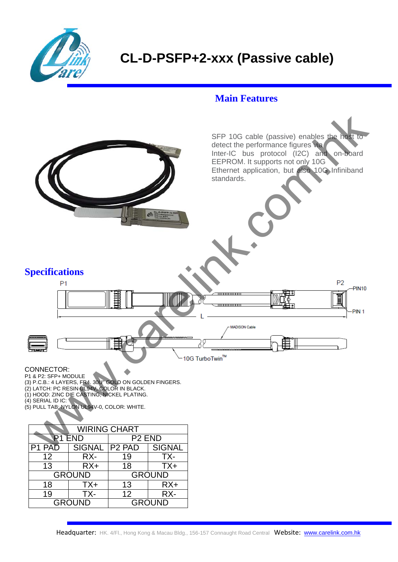

## **CL-D-PSFP+2-xxx (Passive cable)**

## **Main Features**



P1 & P2: SFP+ MODULE

(3) P.C.B.: 4 LAYERS, FR4. 30U" GOLD ON GOLDEN FINGERS.

(2) LATCH: PC RESIN UL94V, COLOR IN BLACK.

(1) HOOD: ZINC DIE CASTING, NICKEL PLATING.

- (4) SERIAL ID IC:
- (5) PULL TAB: NYLON UL94V-0, COLOR: WHITE.

| <b>WIRING CHART</b> |                 |                    |               |  |
|---------------------|-----------------|--------------------|---------------|--|
| <b>R1 END</b>       |                 | P <sub>2</sub> END |               |  |
| P1 PAD              | SIGNAL   P2 PAD |                    | <b>SIGNAL</b> |  |
| 12                  | RX-             | 19                 | TX-           |  |
| 13                  | $RX+$           | 18                 | $TX+$         |  |
| <b>GROUND</b>       |                 | <b>GROUND</b>      |               |  |
| 18                  | TX+             | 13                 | $RX+$         |  |
| 19                  | TX-             | 12                 | RX-           |  |
| <b>GROUND</b>       |                 | <b>GROUND</b>      |               |  |